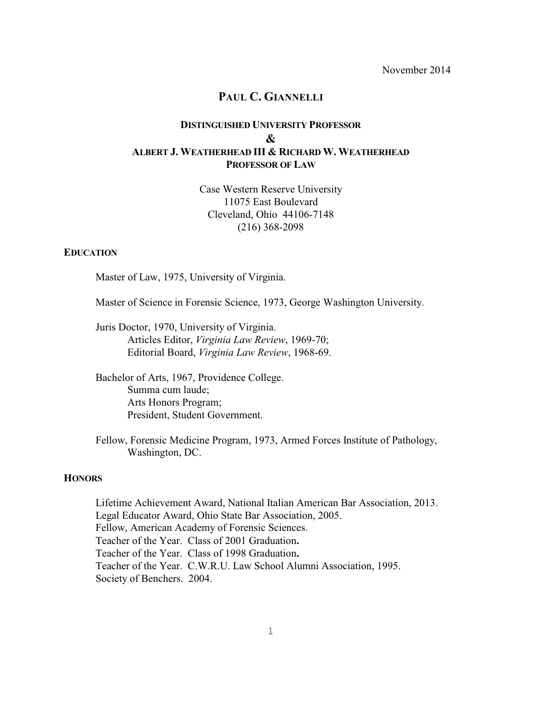November 2014

# **PAUL C. GIANNELLI**

# **DISTINGUISHED UNIVERSITY PROFESSOR & ALBERT J. WEATHERHEAD III & RICHARD W. WEATHERHEAD PROFESSOR OF LAW**

Case Western Reserve University 11075 East Boulevard Cleveland, Ohio 44106-7148 (216) 368-2098

#### **EDUCATION**

Master of Law, 1975, University of Virginia.

Master of Science in Forensic Science, 1973, George Washington University.

Juris Doctor, 1970, University of Virginia. Articles Editor, *Virginia Law Review*, 1969-70; Editorial Board, *Virginia Law Review*, 1968-69.

Bachelor of Arts, 1967, Providence College. Summa cum laude; Arts Honors Program; President, Student Government.

Fellow, Forensic Medicine Program, 1973, Armed Forces Institute of Pathology, Washington, DC.

# **HONORS**

Lifetime Achievement Award, National Italian American Bar Association, 2013. Legal Educator Award, Ohio State Bar Association, 2005. Fellow, American Academy of Forensic Sciences. Teacher of the Year. Class of 2001 Graduation**.** Teacher of the Year. Class of 1998 Graduation**.** Teacher of the Year. C.W.R.U. Law School Alumni Association, 1995. Society of Benchers. 2004.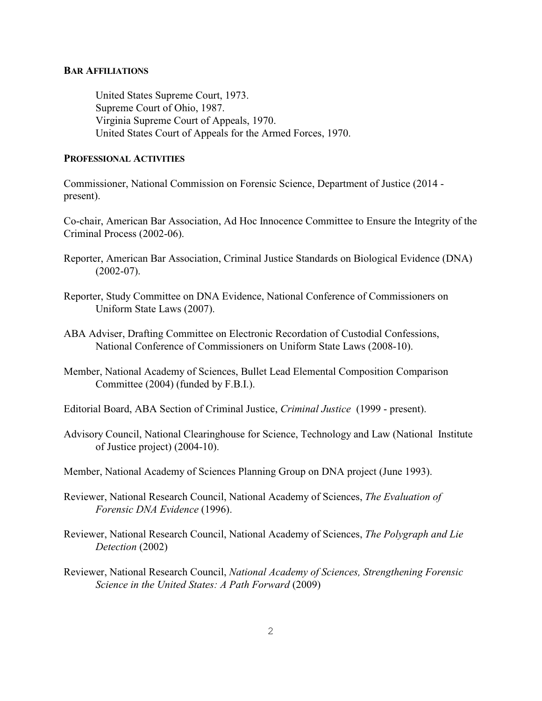## **BAR AFFILIATIONS**

United States Supreme Court, 1973. Supreme Court of Ohio, 1987. Virginia Supreme Court of Appeals, 1970. United States Court of Appeals for the Armed Forces, 1970.

#### **PROFESSIONAL ACTIVITIES**

Commissioner, National Commission on Forensic Science, Department of Justice (2014 present).

Co-chair, American Bar Association, Ad Hoc Innocence Committee to Ensure the Integrity of the Criminal Process (2002-06).

- Reporter, American Bar Association, Criminal Justice Standards on Biological Evidence (DNA)  $(2002-07)$ .
- Reporter, Study Committee on DNA Evidence, National Conference of Commissioners on Uniform State Laws (2007).
- ABA Adviser, Drafting Committee on Electronic Recordation of Custodial Confessions, National Conference of Commissioners on Uniform State Laws (2008-10).
- Member, National Academy of Sciences, Bullet Lead Elemental Composition Comparison Committee (2004) (funded by F.B.I.).

Editorial Board, ABA Section of Criminal Justice, *Criminal Justice* (1999 - present).

- Advisory Council, National Clearinghouse for Science, Technology and Law (National Institute of Justice project) (2004-10).
- Member, National Academy of Sciences Planning Group on DNA project (June 1993).
- Reviewer, National Research Council, National Academy of Sciences, *The Evaluation of Forensic DNA Evidence* (1996).
- Reviewer, National Research Council, National Academy of Sciences, *The Polygraph and Lie Detection* (2002)
- Reviewer, National Research Council, *National Academy of Sciences, Strengthening Forensic Science in the United States: A Path Forward* (2009)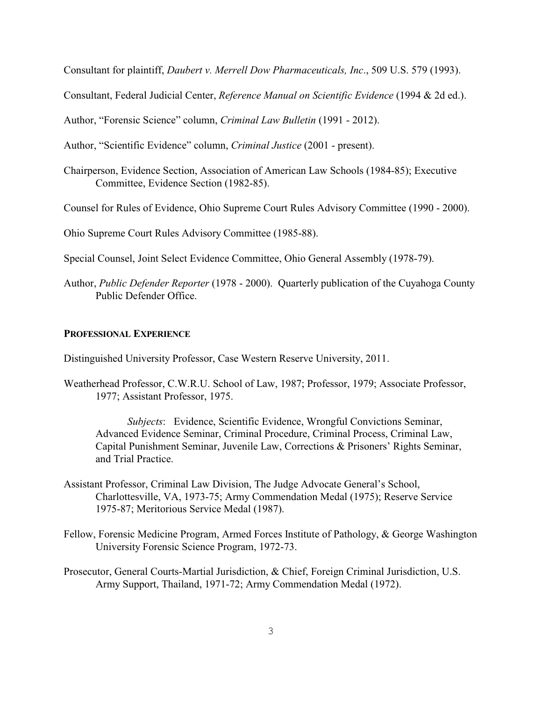Consultant for plaintiff, *Daubert v. Merrell Dow Pharmaceuticals, Inc*., 509 U.S. 579 (1993).

Consultant, Federal Judicial Center, *Reference Manual on Scientific Evidence* (1994 & 2d ed.).

Author, "Forensic Science" column, *Criminal Law Bulletin* (1991 - 2012).

Author, "Scientific Evidence" column, *Criminal Justice* (2001 - present).

Chairperson, Evidence Section, Association of American Law Schools (1984-85); Executive Committee, Evidence Section (1982-85).

Counsel for Rules of Evidence, Ohio Supreme Court Rules Advisory Committee (1990 - 2000).

Ohio Supreme Court Rules Advisory Committee (1985-88).

Special Counsel, Joint Select Evidence Committee, Ohio General Assembly (1978-79).

Author, *Public Defender Reporter* (1978 - 2000). Quarterly publication of the Cuyahoga County Public Defender Office.

#### **PROFESSIONAL EXPERIENCE**

Distinguished University Professor, Case Western Reserve University, 2011.

Weatherhead Professor, C.W.R.U. School of Law, 1987; Professor, 1979; Associate Professor, 1977; Assistant Professor, 1975.

*Subjects*: Evidence, Scientific Evidence, Wrongful Convictions Seminar, Advanced Evidence Seminar, Criminal Procedure, Criminal Process, Criminal Law, Capital Punishment Seminar, Juvenile Law, Corrections & Prisoners' Rights Seminar, and Trial Practice.

- Assistant Professor, Criminal Law Division, The Judge Advocate General's School, Charlottesville, VA, 1973-75; Army Commendation Medal (1975); Reserve Service 1975-87; Meritorious Service Medal (1987).
- Fellow, Forensic Medicine Program, Armed Forces Institute of Pathology, & George Washington University Forensic Science Program, 1972-73.
- Prosecutor, General Courts-Martial Jurisdiction, & Chief, Foreign Criminal Jurisdiction, U.S. Army Support, Thailand, 1971-72; Army Commendation Medal (1972).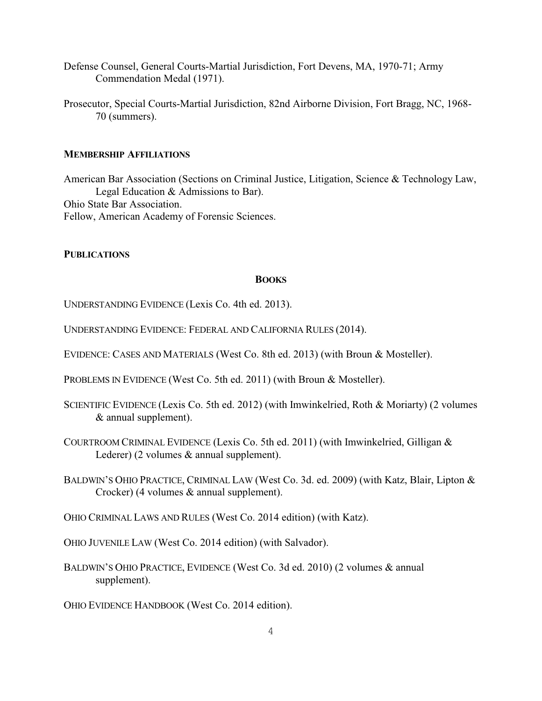- Defense Counsel, General Courts-Martial Jurisdiction, Fort Devens, MA, 1970-71; Army Commendation Medal (1971).
- Prosecutor, Special Courts-Martial Jurisdiction, 82nd Airborne Division, Fort Bragg, NC, 1968- 70 (summers).

#### **MEMBERSHIP AFFILIATIONS**

American Bar Association (Sections on Criminal Justice, Litigation, Science & Technology Law, Legal Education & Admissions to Bar). Ohio State Bar Association. Fellow, American Academy of Forensic Sciences.

# **PUBLICATIONS**

# **BOOKS**

UNDERSTANDING EVIDENCE (Lexis Co. 4th ed. 2013).

- UNDERSTANDING EVIDENCE: FEDERAL AND CALIFORNIA RULES (2014).
- EVIDENCE: CASES AND MATERIALS (West Co. 8th ed. 2013) (with Broun & Mosteller).
- PROBLEMS IN EVIDENCE (West Co. 5th ed. 2011) (with Broun & Mosteller).
- SCIENTIFIC EVIDENCE (Lexis Co. 5th ed. 2012) (with Imwinkelried, Roth & Moriarty) (2 volumes & annual supplement).
- COURTROOM CRIMINAL EVIDENCE (Lexis Co. 5th ed. 2011) (with Imwinkelried, Gilligan & Lederer) (2 volumes & annual supplement).
- BALDWIN'S OHIO PRACTICE, CRIMINAL LAW (West Co. 3d. ed. 2009) (with Katz, Blair, Lipton & Crocker) (4 volumes & annual supplement).

OHIO CRIMINAL LAWS AND RULES (West Co. 2014 edition) (with Katz).

- OHIO JUVENILE LAW (West Co. 2014 edition) (with Salvador).
- BALDWIN'S OHIO PRACTICE, EVIDENCE (West Co. 3d ed. 2010) (2 volumes & annual supplement).

OHIO EVIDENCE HANDBOOK (West Co. 2014 edition).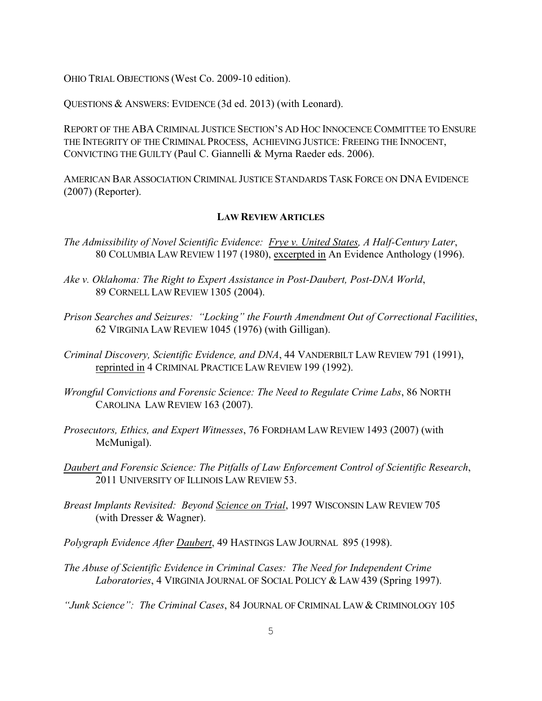OHIO TRIAL OBJECTIONS (West Co. 2009-10 edition).

QUESTIONS & ANSWERS: EVIDENCE (3d ed. 2013) (with Leonard).

REPORT OF THE ABA CRIMINAL JUSTICE SECTION'S AD HOC INNOCENCE COMMITTEE TO ENSURE THE INTEGRITY OF THE CRIMINAL PROCESS, ACHIEVING JUSTICE: FREEING THE INNOCENT, CONVICTING THE GUILTY (Paul C. Giannelli & Myrna Raeder eds. 2006).

AMERICAN BAR ASSOCIATION CRIMINAL JUSTICE STANDARDS TASK FORCE ON DNA EVIDENCE (2007) (Reporter).

#### **LAW REVIEW ARTICLES**

- *The Admissibility of Novel Scientific Evidence: Frye v. United States, A Half-Century Later*, 80 COLUMBIA LAW REVIEW 1197 (1980), excerpted in An Evidence Anthology (1996).
- *Ake v. Oklahoma: The Right to Expert Assistance in Post-Daubert, Post-DNA World*, 89 CORNELL LAW REVIEW 1305 (2004).
- *Prison Searches and Seizures: "Locking" the Fourth Amendment Out of Correctional Facilities*, 62 VIRGINIA LAW REVIEW 1045 (1976) (with Gilligan).
- *Criminal Discovery, Scientific Evidence, and DNA*, 44 VANDERBILT LAW REVIEW 791 (1991), reprinted in 4 CRIMINAL PRACTICE LAW REVIEW 199 (1992).
- *Wrongful Convictions and Forensic Science: The Need to Regulate Crime Labs*, 86 NORTH CAROLINA LAW REVIEW 163 (2007).
- *Prosecutors, Ethics, and Expert Witnesses*, 76 FORDHAM LAW REVIEW 1493 (2007) (with McMunigal).
- *Daubert and Forensic Science: The Pitfalls of Law Enforcement Control of Scientific Research*, 2011 UNIVERSITY OF ILLINOIS LAW REVIEW 53.
- *Breast Implants Revisited: Beyond Science on Trial*, 1997 WISCONSIN LAW REVIEW 705 (with Dresser & Wagner).
- *Polygraph Evidence After Daubert*, 49 HASTINGS LAW JOURNAL 895 (1998).
- *The Abuse of Scientific Evidence in Criminal Cases: The Need for Independent Crime Laboratories*, 4 VIRGINIA JOURNAL OF SOCIAL POLICY & LAW 439 (Spring 1997).
- *"Junk Science": The Criminal Cases*, 84 JOURNAL OF CRIMINAL LAW & CRIMINOLOGY 105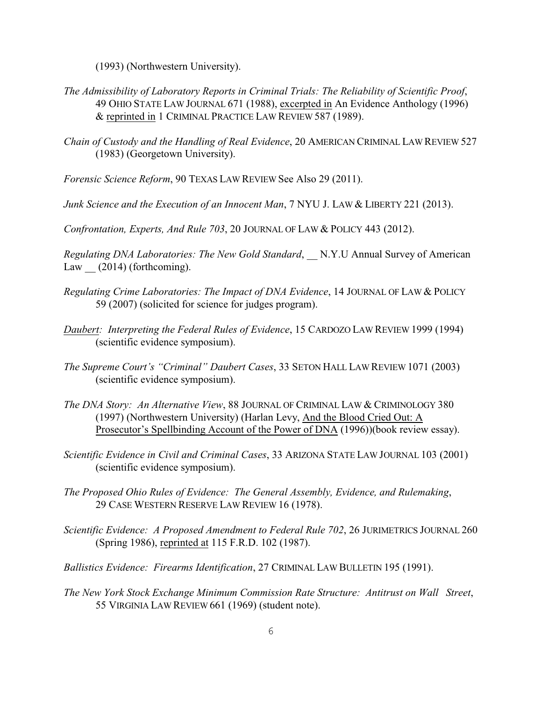(1993) (Northwestern University).

- *The Admissibility of Laboratory Reports in Criminal Trials: The Reliability of Scientific Proof*, 49 OHIO STATE LAW JOURNAL 671 (1988), excerpted in An Evidence Anthology (1996) & reprinted in 1 CRIMINAL PRACTICE LAW REVIEW 587 (1989).
- *Chain of Custody and the Handling of Real Evidence*, 20 AMERICAN CRIMINAL LAW REVIEW 527 (1983) (Georgetown University).
- *Forensic Science Reform*, 90 TEXAS LAW REVIEW See Also 29 (2011).
- *Junk Science and the Execution of an Innocent Man*, 7 NYU J. LAW & LIBERTY 221 (2013).

*Confrontation, Experts, And Rule 703*, 20 JOURNAL OF LAW & POLICY 443 (2012).

*Regulating DNA Laboratories: The New Gold Standard*, \_\_ N.Y.U Annual Survey of American Law  $(2014)$  (forthcoming).

- *Regulating Crime Laboratories: The Impact of DNA Evidence*, 14 JOURNAL OF LAW & POLICY 59 (2007) (solicited for science for judges program).
- *Daubert: Interpreting the Federal Rules of Evidence*, 15 CARDOZO LAW REVIEW 1999 (1994) (scientific evidence symposium).
- *The Supreme Court's "Criminal" Daubert Cases*, 33 SETON HALL LAW REVIEW 1071 (2003) (scientific evidence symposium).
- *The DNA Story: An Alternative View*, 88 JOURNAL OF CRIMINAL LAW & CRIMINOLOGY 380 (1997) (Northwestern University) (Harlan Levy, And the Blood Cried Out: A Prosecutor's Spellbinding Account of the Power of DNA (1996))(book review essay).
- *Scientific Evidence in Civil and Criminal Cases*, 33 ARIZONA STATE LAW JOURNAL 103 (2001) (scientific evidence symposium).
- *The Proposed Ohio Rules of Evidence: The General Assembly, Evidence, and Rulemaking*, 29 CASE WESTERN RESERVE LAW REVIEW 16 (1978).
- *Scientific Evidence: A Proposed Amendment to Federal Rule 702*, 26 JURIMETRICS JOURNAL 260 (Spring 1986), reprinted at 115 F.R.D. 102 (1987).
- *Ballistics Evidence: Firearms Identification*, 27 CRIMINAL LAW BULLETIN 195 (1991).
- *The New York Stock Exchange Minimum Commission Rate Structure: Antitrust on Wall Street*, 55 VIRGINIA LAW REVIEW 661 (1969) (student note).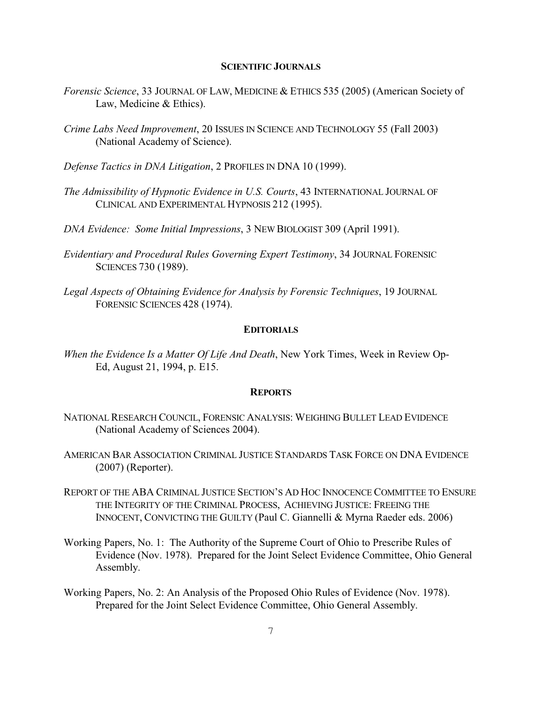#### **SCIENTIFIC JOURNALS**

- *Forensic Science*, 33 JOURNAL OF LAW, MEDICINE & ETHICS 535 (2005) (American Society of Law, Medicine & Ethics).
- *Crime Labs Need Improvement*, 20 ISSUES IN SCIENCE AND TECHNOLOGY 55 (Fall 2003) (National Academy of Science).
- *Defense Tactics in DNA Litigation*, 2 PROFILES IN DNA 10 (1999).
- *The Admissibility of Hypnotic Evidence in U.S. Courts*, 43 INTERNATIONAL JOURNAL OF CLINICAL AND EXPERIMENTAL HYPNOSIS 212 (1995).
- *DNA Evidence: Some Initial Impressions*, 3 NEW BIOLOGIST 309 (April 1991).
- *Evidentiary and Procedural Rules Governing Expert Testimony*, 34 JOURNAL FORENSIC SCIENCES 730 (1989).
- *Legal Aspects of Obtaining Evidence for Analysis by Forensic Techniques*, 19 JOURNAL FORENSIC SCIENCES 428 (1974).

#### **EDITORIALS**

*When the Evidence Is a Matter Of Life And Death*, New York Times, Week in Review Op-Ed, August 21, 1994, p. E15.

#### **REPORTS**

- NATIONAL RESEARCH COUNCIL, FORENSIC ANALYSIS: WEIGHING BULLET LEAD EVIDENCE (National Academy of Sciences 2004).
- AMERICAN BAR ASSOCIATION CRIMINAL JUSTICE STANDARDS TASK FORCE ON DNA EVIDENCE (2007) (Reporter).
- REPORT OF THE ABA CRIMINAL JUSTICE SECTION'S AD HOC INNOCENCE COMMITTEE TO ENSURE THE INTEGRITY OF THE CRIMINAL PROCESS, ACHIEVING JUSTICE: FREEING THE INNOCENT, CONVICTING THE GUILTY (Paul C. Giannelli & Myrna Raeder eds. 2006)
- Working Papers, No. 1: The Authority of the Supreme Court of Ohio to Prescribe Rules of Evidence (Nov. 1978). Prepared for the Joint Select Evidence Committee, Ohio General Assembly.
- Working Papers, No. 2: An Analysis of the Proposed Ohio Rules of Evidence (Nov. 1978). Prepared for the Joint Select Evidence Committee, Ohio General Assembly.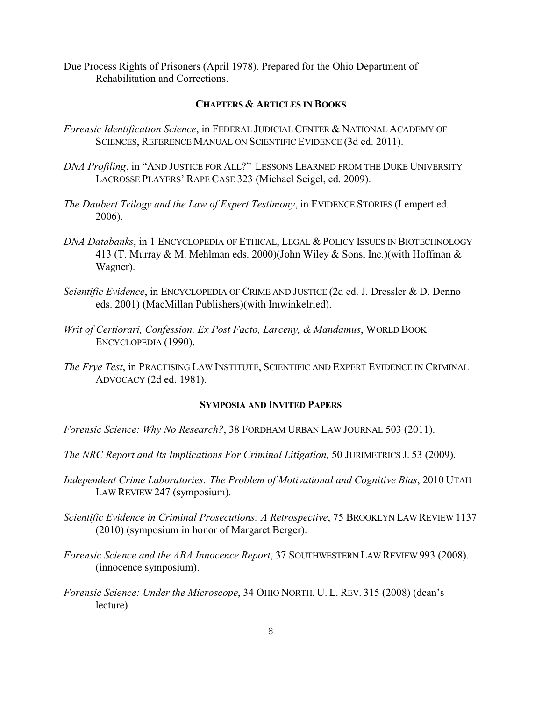Due Process Rights of Prisoners (April 1978). Prepared for the Ohio Department of Rehabilitation and Corrections.

# **CHAPTERS & ARTICLES IN BOOKS**

- *Forensic Identification Science*, in FEDERAL JUDICIAL CENTER & NATIONAL ACADEMY OF SCIENCES, REFERENCE MANUAL ON SCIENTIFIC EVIDENCE (3d ed. 2011).
- *DNA Profiling*, in "AND JUSTICE FOR ALL?" LESSONS LEARNED FROM THE DUKE UNIVERSITY LACROSSE PLAYERS' RAPE CASE 323 (Michael Seigel, ed. 2009).
- *The Daubert Trilogy and the Law of Expert Testimony*, in EVIDENCE STORIES (Lempert ed. 2006).
- *DNA Databanks*, in 1 ENCYCLOPEDIA OF ETHICAL, LEGAL & POLICY ISSUES IN BIOTECHNOLOGY 413 (T. Murray & M. Mehlman eds. 2000)(John Wiley & Sons, Inc.)(with Hoffman & Wagner).
- *Scientific Evidence*, in ENCYCLOPEDIA OF CRIME AND JUSTICE (2d ed. J. Dressler & D. Denno eds. 2001) (MacMillan Publishers)(with Imwinkelried).
- *Writ of Certiorari, Confession, Ex Post Facto, Larceny, & Mandamus*, WORLD BOOK ENCYCLOPEDIA (1990).
- *The Frye Test*, in PRACTISING LAW INSTITUTE, SCIENTIFIC AND EXPERT EVIDENCE IN CRIMINAL ADVOCACY (2d ed. 1981).

## **SYMPOSIA AND INVITED PAPERS**

- *Forensic Science: Why No Research?*, 38 FORDHAM URBAN LAW JOURNAL 503 (2011).
- *The NRC Report and Its Implications For Criminal Litigation,* 50 JURIMETRICS J. 53 (2009).
- *Independent Crime Laboratories: The Problem of Motivational and Cognitive Bias*, 2010 UTAH LAW REVIEW 247 (symposium).
- *Scientific Evidence in Criminal Prosecutions: A Retrospective*, 75 BROOKLYN LAW REVIEW 1137 (2010) (symposium in honor of Margaret Berger).
- *Forensic Science and the ABA Innocence Report*, 37 SOUTHWESTERN LAW REVIEW 993 (2008). (innocence symposium).
- *Forensic Science: Under the Microscope*, 34 OHIO NORTH. U. L. REV. 315 (2008) (dean's lecture).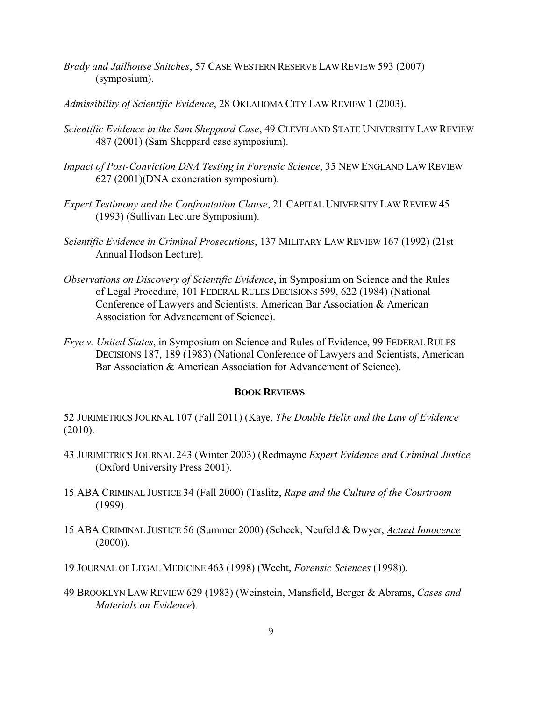- *Brady and Jailhouse Snitches*, 57 CASE WESTERN RESERVE LAW REVIEW 593 (2007) (symposium).
- *Admissibility of Scientific Evidence*, 28 OKLAHOMA CITY LAW REVIEW 1 (2003).
- *Scientific Evidence in the Sam Sheppard Case*, 49 CLEVELAND STATE UNIVERSITY LAW REVIEW 487 (2001) (Sam Sheppard case symposium).
- *Impact of Post-Conviction DNA Testing in Forensic Science*, 35 NEW ENGLAND LAW REVIEW 627 (2001)(DNA exoneration symposium).
- *Expert Testimony and the Confrontation Clause*, 21 CAPITAL UNIVERSITY LAW REVIEW 45 (1993) (Sullivan Lecture Symposium).
- *Scientific Evidence in Criminal Prosecutions*, 137 MILITARY LAW REVIEW 167 (1992) (21st Annual Hodson Lecture).
- *Observations on Discovery of Scientific Evidence*, in Symposium on Science and the Rules of Legal Procedure, 101 FEDERAL RULES DECISIONS 599, 622 (1984) (National Conference of Lawyers and Scientists, American Bar Association & American Association for Advancement of Science).
- *Frye v. United States*, in Symposium on Science and Rules of Evidence, 99 FEDERAL RULES DECISIONS 187, 189 (1983) (National Conference of Lawyers and Scientists, American Bar Association & American Association for Advancement of Science).

#### **BOOK REVIEWS**

52 JURIMETRICS JOURNAL 107 (Fall 2011) (Kaye, *The Double Helix and the Law of Evidence* (2010).

- 43 JURIMETRICS JOURNAL 243 (Winter 2003) (Redmayne *Expert Evidence and Criminal Justice* (Oxford University Press 2001).
- 15 ABA CRIMINAL JUSTICE 34 (Fall 2000) (Taslitz, *Rape and the Culture of the Courtroom* (1999).
- 15 ABA CRIMINAL JUSTICE 56 (Summer 2000) (Scheck, Neufeld & Dwyer, *Actual Innocence*  $(2000)$ ).
- 19 JOURNAL OF LEGAL MEDICINE 463 (1998) (Wecht, *Forensic Sciences* (1998)).
- 49 BROOKLYN LAW REVIEW 629 (1983) (Weinstein, Mansfield, Berger & Abrams, *Cases and Materials on Evidence*).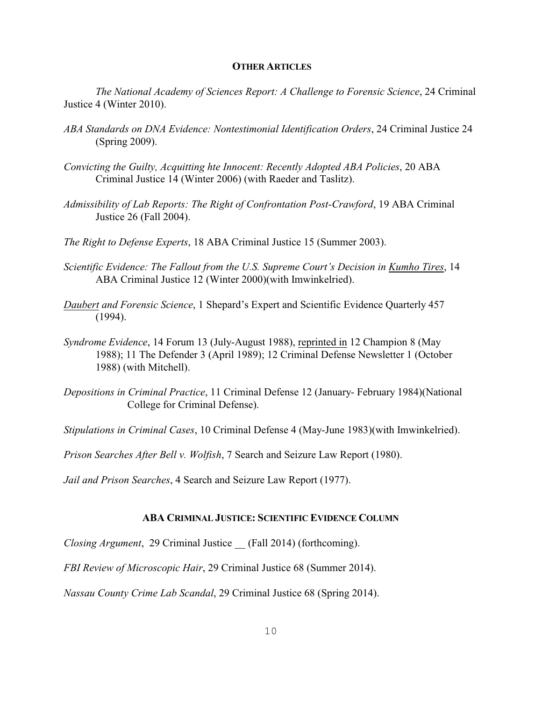#### **OTHER ARTICLES**

*The National Academy of Sciences Report: A Challenge to Forensic Science*, 24 Criminal Justice 4 (Winter 2010).

- *ABA Standards on DNA Evidence: Nontestimonial Identification Orders*, 24 Criminal Justice 24 (Spring 2009).
- *Convicting the Guilty, Acquitting hte Innocent: Recently Adopted ABA Policies*, 20 ABA Criminal Justice 14 (Winter 2006) (with Raeder and Taslitz).
- *Admissibility of Lab Reports: The Right of Confrontation Post-Crawford*, 19 ABA Criminal Justice 26 (Fall 2004).
- *The Right to Defense Experts*, 18 ABA Criminal Justice 15 (Summer 2003).
- *Scientific Evidence: The Fallout from the U.S. Supreme Court's Decision in Kumho Tires*, 14 ABA Criminal Justice 12 (Winter 2000)(with Imwinkelried).
- *Daubert and Forensic Science*, 1 Shepard's Expert and Scientific Evidence Quarterly 457 (1994).
- *Syndrome Evidence*, 14 Forum 13 (July-August 1988), reprinted in 12 Champion 8 (May 1988); 11 The Defender 3 (April 1989); 12 Criminal Defense Newsletter 1 (October 1988) (with Mitchell).
- *Depositions in Criminal Practice*, 11 Criminal Defense 12 (January- February 1984)(National College for Criminal Defense).

*Stipulations in Criminal Cases*, 10 Criminal Defense 4 (May-June 1983)(with Imwinkelried).

*Prison Searches After Bell v. Wolfish*, 7 Search and Seizure Law Report (1980).

*Jail and Prison Searches*, 4 Search and Seizure Law Report (1977).

## **ABA CRIMINAL JUSTICE: SCIENTIFIC EVIDENCE COLUMN**

*Closing Argument*, 29 Criminal Justice (Fall 2014) (forthcoming).

*FBI Review of Microscopic Hair*, 29 Criminal Justice 68 (Summer 2014).

*Nassau County Crime Lab Scandal*, 29 Criminal Justice 68 (Spring 2014).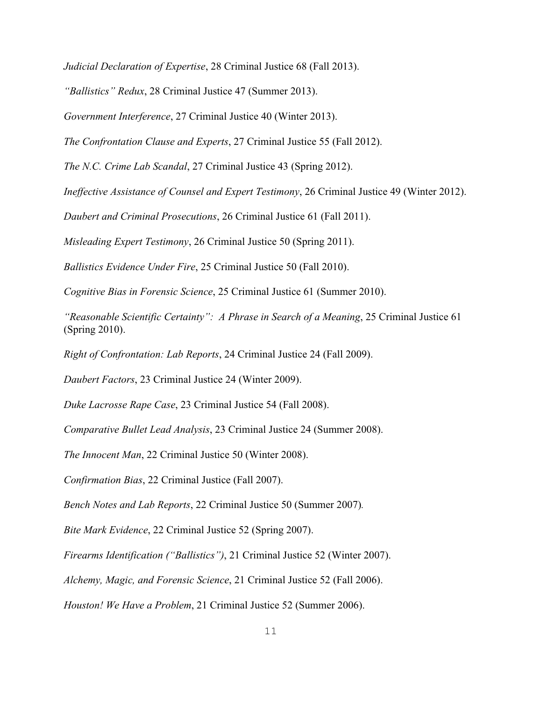*Judicial Declaration of Expertise*, 28 Criminal Justice 68 (Fall 2013).

*"Ballistics" Redux*, 28 Criminal Justice 47 (Summer 2013).

*Government Interference*, 27 Criminal Justice 40 (Winter 2013).

*The Confrontation Clause and Experts*, 27 Criminal Justice 55 (Fall 2012).

*The N.C. Crime Lab Scandal*, 27 Criminal Justice 43 (Spring 2012).

*Ineffective Assistance of Counsel and Expert Testimony*, 26 Criminal Justice 49 (Winter 2012).

*Daubert and Criminal Prosecutions*, 26 Criminal Justice 61 (Fall 2011).

*Misleading Expert Testimony*, 26 Criminal Justice 50 (Spring 2011).

*Ballistics Evidence Under Fire*, 25 Criminal Justice 50 (Fall 2010).

*Cognitive Bias in Forensic Science*, 25 Criminal Justice 61 (Summer 2010).

*"Reasonable Scientific Certainty": A Phrase in Search of a Meaning*, 25 Criminal Justice 61 (Spring 2010).

*Right of Confrontation: Lab Reports*, 24 Criminal Justice 24 (Fall 2009).

*Daubert Factors*, 23 Criminal Justice 24 (Winter 2009).

*Duke Lacrosse Rape Case*, 23 Criminal Justice 54 (Fall 2008).

*Comparative Bullet Lead Analysis*, 23 Criminal Justice 24 (Summer 2008).

*The Innocent Man*, 22 Criminal Justice 50 (Winter 2008).

*Confirmation Bias*, 22 Criminal Justice (Fall 2007).

*Bench Notes and Lab Reports*, 22 Criminal Justice 50 (Summer 2007)*.*

*Bite Mark Evidence*, 22 Criminal Justice 52 (Spring 2007).

*Firearms Identification ("Ballistics")*, 21 Criminal Justice 52 (Winter 2007).

*Alchemy, Magic, and Forensic Science*, 21 Criminal Justice 52 (Fall 2006).

*Houston! We Have a Problem*, 21 Criminal Justice 52 (Summer 2006).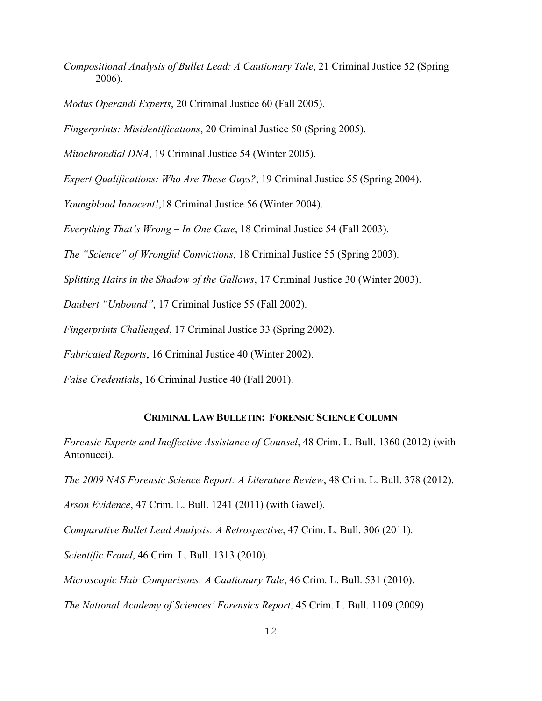*Compositional Analysis of Bullet Lead: A Cautionary Tale*, 21 Criminal Justice 52 (Spring 2006).

*Modus Operandi Experts*, 20 Criminal Justice 60 (Fall 2005).

*Fingerprints: Misidentifications*, 20 Criminal Justice 50 (Spring 2005).

*Mitochrondial DNA*, 19 Criminal Justice 54 (Winter 2005).

*Expert Qualifications: Who Are These Guys?*, 19 Criminal Justice 55 (Spring 2004).

*Youngblood Innocent!*,18 Criminal Justice 56 (Winter 2004).

*Everything That's Wrong – In One Case*, 18 Criminal Justice 54 (Fall 2003).

*The "Science" of Wrongful Convictions*, 18 Criminal Justice 55 (Spring 2003).

*Splitting Hairs in the Shadow of the Gallows*, 17 Criminal Justice 30 (Winter 2003).

*Daubert "Unbound"*, 17 Criminal Justice 55 (Fall 2002).

*Fingerprints Challenged*, 17 Criminal Justice 33 (Spring 2002).

*Fabricated Reports*, 16 Criminal Justice 40 (Winter 2002).

*False Credentials*, 16 Criminal Justice 40 (Fall 2001).

## **CRIMINAL LAW BULLETIN: FORENSIC SCIENCE COLUMN**

*Forensic Experts and Ineffective Assistance of Counsel*, 48 Crim. L. Bull. 1360 (2012) (with Antonucci).

*The 2009 NAS Forensic Science Report: A Literature Review*, 48 Crim. L. Bull. 378 (2012).

*Arson Evidence*, 47 Crim. L. Bull. 1241 (2011) (with Gawel).

*Comparative Bullet Lead Analysis: A Retrospective*, 47 Crim. L. Bull. 306 (2011).

*Scientific Fraud*, 46 Crim. L. Bull. 1313 (2010).

*Microscopic Hair Comparisons: A Cautionary Tale*, 46 Crim. L. Bull. 531 (2010).

*The National Academy of Sciences' Forensics Report*, 45 Crim. L. Bull. 1109 (2009).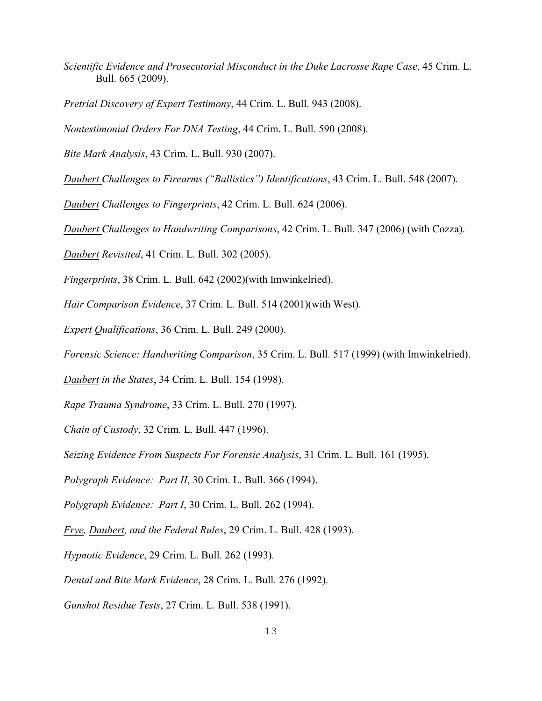*Scientific Evidence and Prosecutorial Misconduct in the Duke Lacrosse Rape Case*, 45 Crim. L. Bull. 665 (2009).

*Pretrial Discovery of Expert Testimony*, 44 Crim. L. Bull. 943 (2008).

*Nontestimonial Orders For DNA Testing*, 44 Crim. L. Bull. 590 (2008).

*Bite Mark Analysis*, 43 Crim. L. Bull. 930 (2007).

*Daubert Challenges to Firearms ("Ballistics") Identifications*, 43 Crim. L. Bull. 548 (2007).

*Daubert Challenges to Fingerprints*, 42 Crim. L. Bull. 624 (2006).

*Daubert Challenges to Handwriting Comparisons*, 42 Crim. L. Bull. 347 (2006) (with Cozza).

*Daubert Revisited*, 41 Crim. L. Bull. 302 (2005).

*Fingerprints*, 38 Crim. L. Bull. 642 (2002)(with Imwinkelried).

*Hair Comparison Evidence*, 37 Crim. L. Bull. 514 (2001)(with West).

*Expert Qualifications*, 36 Crim. L. Bull. 249 (2000).

*Forensic Science: Handwriting Comparison*, 35 Crim. L. Bull. 517 (1999) (with Imwinkelried).

*Daubert in the States*, 34 Crim. L. Bull. 154 (1998).

*Rape Trauma Syndrome*, 33 Crim. L. Bull. 270 (1997).

*Chain of Custody*, 32 Crim. L. Bull. 447 (1996).

*Seizing Evidence From Suspects For Forensic Analysis*, 31 Crim. L. Bull. 161 (1995).

*Polygraph Evidence: Part II*, 30 Crim. L. Bull. 366 (1994).

*Polygraph Evidence: Part I*, 30 Crim. L. Bull. 262 (1994).

*Frye, Daubert, and the Federal Rules*, 29 Crim. L. Bull. 428 (1993).

*Hypnotic Evidence*, 29 Crim. L. Bull. 262 (1993).

*Dental and Bite Mark Evidence*, 28 Crim. L. Bull. 276 (1992).

*Gunshot Residue Tests*, 27 Crim. L. Bull. 538 (1991).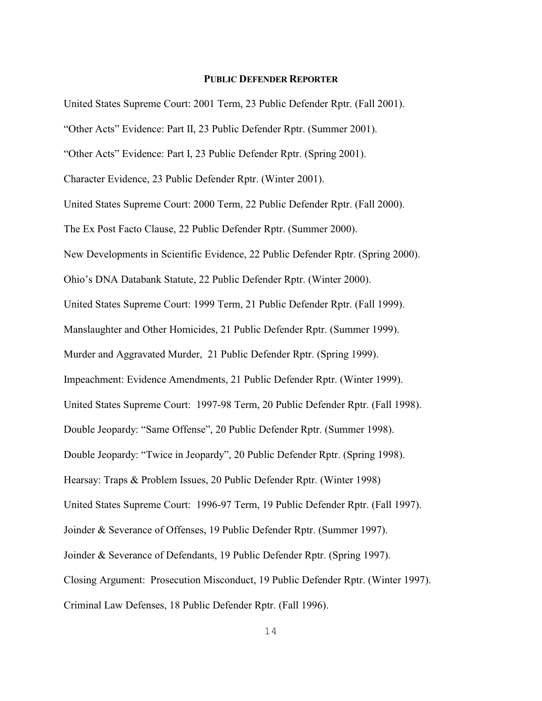# **PUBLIC DEFENDER REPORTER**

United States Supreme Court: 2001 Term, 23 Public Defender Rptr. (Fall 2001). "Other Acts" Evidence: Part II, 23 Public Defender Rptr. (Summer 2001). "Other Acts" Evidence: Part I, 23 Public Defender Rptr. (Spring 2001). Character Evidence, 23 Public Defender Rptr. (Winter 2001). United States Supreme Court: 2000 Term, 22 Public Defender Rptr. (Fall 2000). The Ex Post Facto Clause, 22 Public Defender Rptr. (Summer 2000). New Developments in Scientific Evidence, 22 Public Defender Rptr. (Spring 2000). Ohio's DNA Databank Statute, 22 Public Defender Rptr. (Winter 2000). United States Supreme Court: 1999 Term, 21 Public Defender Rptr. (Fall 1999). Manslaughter and Other Homicides, 21 Public Defender Rptr. (Summer 1999). Murder and Aggravated Murder, 21 Public Defender Rptr. (Spring 1999). Impeachment: Evidence Amendments, 21 Public Defender Rptr. (Winter 1999). United States Supreme Court: 1997-98 Term, 20 Public Defender Rptr. (Fall 1998). Double Jeopardy: "Same Offense", 20 Public Defender Rptr. (Summer 1998). Double Jeopardy: "Twice in Jeopardy", 20 Public Defender Rptr. (Spring 1998). Hearsay: Traps & Problem Issues, 20 Public Defender Rptr. (Winter 1998) United States Supreme Court: 1996-97 Term, 19 Public Defender Rptr. (Fall 1997). Joinder & Severance of Offenses, 19 Public Defender Rptr. (Summer 1997). Joinder & Severance of Defendants, 19 Public Defender Rptr. (Spring 1997). Closing Argument: Prosecution Misconduct, 19 Public Defender Rptr. (Winter 1997). Criminal Law Defenses, 18 Public Defender Rptr. (Fall 1996).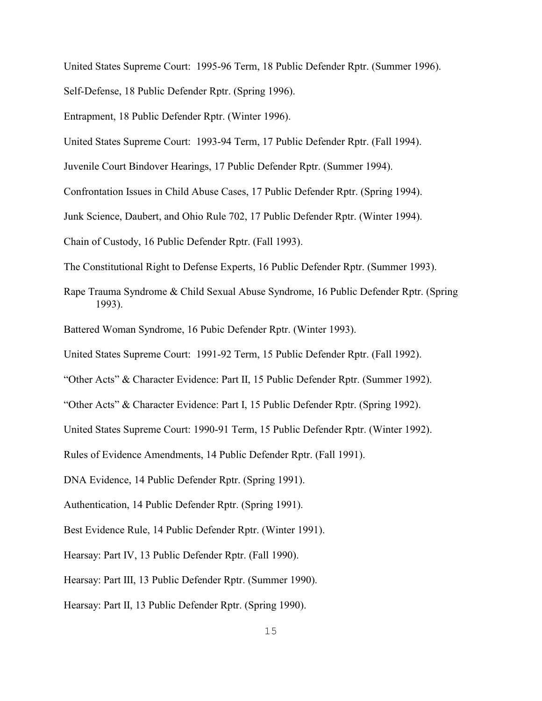United States Supreme Court: 1995-96 Term, 18 Public Defender Rptr. (Summer 1996).

Self-Defense, 18 Public Defender Rptr. (Spring 1996).

Entrapment, 18 Public Defender Rptr. (Winter 1996).

United States Supreme Court: 1993-94 Term, 17 Public Defender Rptr. (Fall 1994).

Juvenile Court Bindover Hearings, 17 Public Defender Rptr. (Summer 1994).

Confrontation Issues in Child Abuse Cases, 17 Public Defender Rptr. (Spring 1994).

Junk Science, Daubert, and Ohio Rule 702, 17 Public Defender Rptr. (Winter 1994).

Chain of Custody, 16 Public Defender Rptr. (Fall 1993).

The Constitutional Right to Defense Experts, 16 Public Defender Rptr. (Summer 1993).

- Rape Trauma Syndrome & Child Sexual Abuse Syndrome, 16 Public Defender Rptr. (Spring 1993).
- Battered Woman Syndrome, 16 Pubic Defender Rptr. (Winter 1993).

United States Supreme Court: 1991-92 Term, 15 Public Defender Rptr. (Fall 1992).

"Other Acts" & Character Evidence: Part II, 15 Public Defender Rptr. (Summer 1992).

"Other Acts" & Character Evidence: Part I, 15 Public Defender Rptr. (Spring 1992).

United States Supreme Court: 1990-91 Term, 15 Public Defender Rptr. (Winter 1992).

Rules of Evidence Amendments, 14 Public Defender Rptr. (Fall 1991).

DNA Evidence, 14 Public Defender Rptr. (Spring 1991).

Authentication, 14 Public Defender Rptr. (Spring 1991).

Best Evidence Rule, 14 Public Defender Rptr. (Winter 1991).

Hearsay: Part IV, 13 Public Defender Rptr. (Fall 1990).

Hearsay: Part III, 13 Public Defender Rptr. (Summer 1990).

Hearsay: Part II, 13 Public Defender Rptr. (Spring 1990).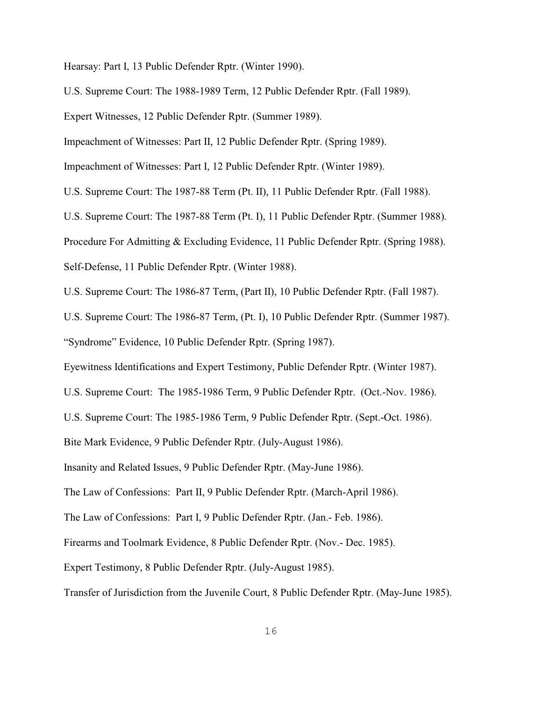Hearsay: Part I, 13 Public Defender Rptr. (Winter 1990).

U.S. Supreme Court: The 1988-1989 Term, 12 Public Defender Rptr. (Fall 1989).

Expert Witnesses, 12 Public Defender Rptr. (Summer 1989).

Impeachment of Witnesses: Part II, 12 Public Defender Rptr. (Spring 1989).

Impeachment of Witnesses: Part I, 12 Public Defender Rptr. (Winter 1989).

U.S. Supreme Court: The 1987-88 Term (Pt. II), 11 Public Defender Rptr. (Fall 1988).

U.S. Supreme Court: The 1987-88 Term (Pt. I), 11 Public Defender Rptr. (Summer 1988).

Procedure For Admitting & Excluding Evidence, 11 Public Defender Rptr. (Spring 1988).

Self-Defense, 11 Public Defender Rptr. (Winter 1988).

U.S. Supreme Court: The 1986-87 Term, (Part II), 10 Public Defender Rptr. (Fall 1987).

U.S. Supreme Court: The 1986-87 Term, (Pt. I), 10 Public Defender Rptr. (Summer 1987). "Syndrome" Evidence, 10 Public Defender Rptr. (Spring 1987).

Eyewitness Identifications and Expert Testimony, Public Defender Rptr. (Winter 1987).

U.S. Supreme Court: The 1985-1986 Term, 9 Public Defender Rptr. (Oct.-Nov. 1986).

U.S. Supreme Court: The 1985-1986 Term, 9 Public Defender Rptr. (Sept.-Oct. 1986).

Bite Mark Evidence, 9 Public Defender Rptr. (July-August 1986).

Insanity and Related Issues, 9 Public Defender Rptr. (May-June 1986).

The Law of Confessions: Part II, 9 Public Defender Rptr. (March-April 1986).

The Law of Confessions: Part I, 9 Public Defender Rptr. (Jan.- Feb. 1986).

Firearms and Toolmark Evidence, 8 Public Defender Rptr. (Nov.- Dec. 1985).

Expert Testimony, 8 Public Defender Rptr. (July-August 1985).

Transfer of Jurisdiction from the Juvenile Court, 8 Public Defender Rptr. (May-June 1985).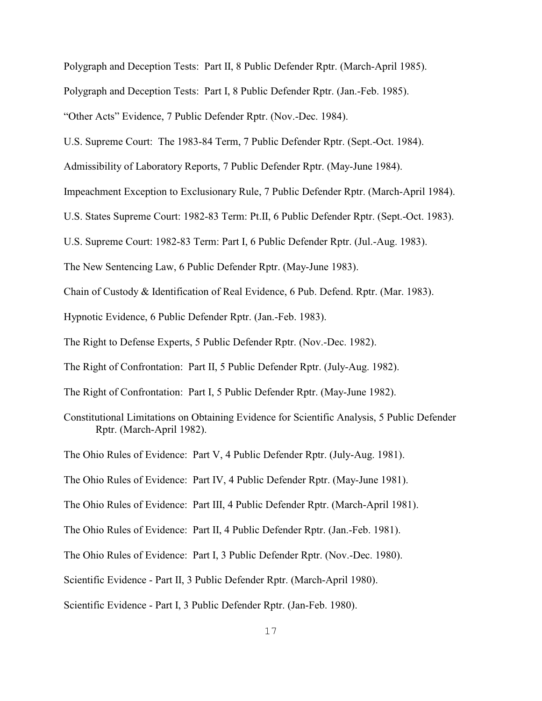Polygraph and Deception Tests: Part II, 8 Public Defender Rptr. (March-April 1985).

Polygraph and Deception Tests: Part I, 8 Public Defender Rptr. (Jan.-Feb. 1985).

"Other Acts" Evidence, 7 Public Defender Rptr. (Nov.-Dec. 1984).

U.S. Supreme Court: The 1983-84 Term, 7 Public Defender Rptr. (Sept.-Oct. 1984).

Admissibility of Laboratory Reports, 7 Public Defender Rptr. (May-June 1984).

Impeachment Exception to Exclusionary Rule, 7 Public Defender Rptr. (March-April 1984).

U.S. States Supreme Court: 1982-83 Term: Pt.II, 6 Public Defender Rptr. (Sept.-Oct. 1983).

U.S. Supreme Court: 1982-83 Term: Part I, 6 Public Defender Rptr. (Jul.-Aug. 1983).

The New Sentencing Law, 6 Public Defender Rptr. (May-June 1983).

Chain of Custody & Identification of Real Evidence, 6 Pub. Defend. Rptr. (Mar. 1983).

Hypnotic Evidence, 6 Public Defender Rptr. (Jan.-Feb. 1983).

The Right to Defense Experts, 5 Public Defender Rptr. (Nov.-Dec. 1982).

The Right of Confrontation: Part II, 5 Public Defender Rptr. (July-Aug. 1982).

The Right of Confrontation: Part I, 5 Public Defender Rptr. (May-June 1982).

Constitutional Limitations on Obtaining Evidence for Scientific Analysis, 5 Public Defender Rptr. (March-April 1982).

The Ohio Rules of Evidence: Part V, 4 Public Defender Rptr. (July-Aug. 1981).

The Ohio Rules of Evidence: Part IV, 4 Public Defender Rptr. (May-June 1981).

The Ohio Rules of Evidence: Part III, 4 Public Defender Rptr. (March-April 1981).

The Ohio Rules of Evidence: Part II, 4 Public Defender Rptr. (Jan.-Feb. 1981).

The Ohio Rules of Evidence: Part I, 3 Public Defender Rptr. (Nov.-Dec. 1980).

Scientific Evidence - Part II, 3 Public Defender Rptr. (March-April 1980).

Scientific Evidence - Part I, 3 Public Defender Rptr. (Jan-Feb. 1980).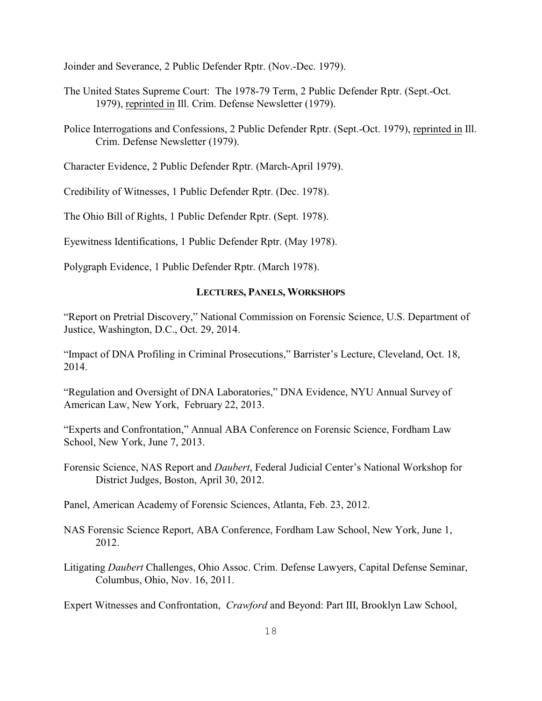Joinder and Severance, 2 Public Defender Rptr. (Nov.-Dec. 1979).

- The United States Supreme Court: The 1978-79 Term, 2 Public Defender Rptr. (Sept.-Oct. 1979), reprinted in Ill. Crim. Defense Newsletter (1979).
- Police Interrogations and Confessions, 2 Public Defender Rptr. (Sept.-Oct. 1979), reprinted in Ill. Crim. Defense Newsletter (1979).
- Character Evidence, 2 Public Defender Rptr. (March-April 1979).
- Credibility of Witnesses, 1 Public Defender Rptr. (Dec. 1978).

The Ohio Bill of Rights, 1 Public Defender Rptr. (Sept. 1978).

Eyewitness Identifications, 1 Public Defender Rptr. (May 1978).

Polygraph Evidence, 1 Public Defender Rptr. (March 1978).

# **LECTURES, PANELS, WORKSHOPS**

"Report on Pretrial Discovery," National Commission on Forensic Science, U.S. Department of Justice, Washington, D.C., Oct. 29, 2014.

"Impact of DNA Profiling in Criminal Prosecutions," Barrister's Lecture, Cleveland, Oct. 18, 2014.

"Regulation and Oversight of DNA Laboratories," DNA Evidence, NYU Annual Survey of American Law, New York, February 22, 2013.

"Experts and Confrontation," Annual ABA Conference on Forensic Science, Fordham Law School, New York, June 7, 2013.

Forensic Science, NAS Report and *Daubert*, Federal Judicial Center's National Workshop for District Judges, Boston, April 30, 2012.

Panel, American Academy of Forensic Sciences, Atlanta, Feb. 23, 2012.

- NAS Forensic Science Report, ABA Conference, Fordham Law School, New York, June 1, 2012.
- Litigating *Daubert* Challenges, Ohio Assoc. Crim. Defense Lawyers, Capital Defense Seminar, Columbus, Ohio, Nov. 16, 2011.

Expert Witnesses and Confrontation, *Crawford* and Beyond: Part III, Brooklyn Law School,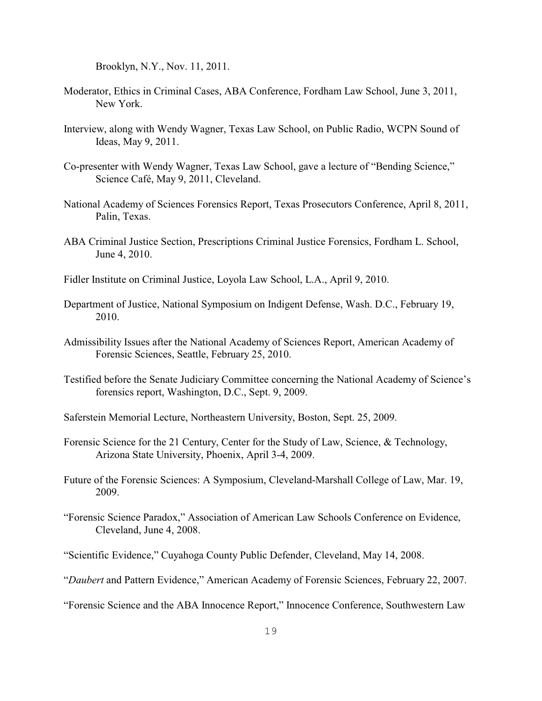Brooklyn, N.Y., Nov. 11, 2011.

- Moderator, Ethics in Criminal Cases, ABA Conference, Fordham Law School, June 3, 2011, New York.
- Interview, along with Wendy Wagner, Texas Law School, on Public Radio, WCPN Sound of Ideas, May 9, 2011.
- Co-presenter with Wendy Wagner, Texas Law School, gave a lecture of "Bending Science," Science Café, May 9, 2011, Cleveland.
- National Academy of Sciences Forensics Report, Texas Prosecutors Conference, April 8, 2011, Palin, Texas.
- ABA Criminal Justice Section, Prescriptions Criminal Justice Forensics, Fordham L. School, June 4, 2010.
- Fidler Institute on Criminal Justice, Loyola Law School, L.A., April 9, 2010.
- Department of Justice, National Symposium on Indigent Defense, Wash. D.C., February 19, 2010.
- Admissibility Issues after the National Academy of Sciences Report, American Academy of Forensic Sciences, Seattle, February 25, 2010.
- Testified before the Senate Judiciary Committee concerning the National Academy of Science's forensics report, Washington, D.C., Sept. 9, 2009.
- Saferstein Memorial Lecture, Northeastern University, Boston, Sept. 25, 2009.
- Forensic Science for the 21 Century, Center for the Study of Law, Science, & Technology, Arizona State University, Phoenix, April 3-4, 2009.
- Future of the Forensic Sciences: A Symposium, Cleveland-Marshall College of Law, Mar. 19, 2009.
- "Forensic Science Paradox," Association of American Law Schools Conference on Evidence, Cleveland, June 4, 2008.
- "Scientific Evidence," Cuyahoga County Public Defender, Cleveland, May 14, 2008.
- "*Daubert* and Pattern Evidence," American Academy of Forensic Sciences, February 22, 2007.

<sup>&</sup>quot;Forensic Science and the ABA Innocence Report," Innocence Conference, Southwestern Law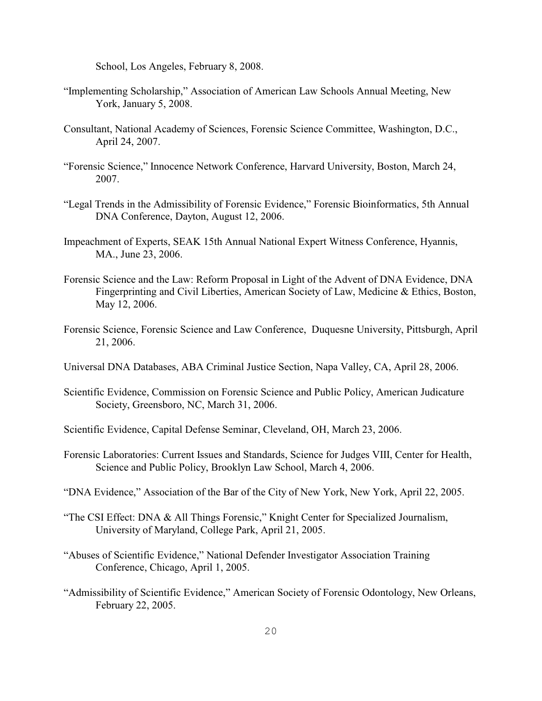School, Los Angeles, February 8, 2008.

- "Implementing Scholarship," Association of American Law Schools Annual Meeting, New York, January 5, 2008.
- Consultant, National Academy of Sciences, Forensic Science Committee, Washington, D.C., April 24, 2007.
- "Forensic Science," Innocence Network Conference, Harvard University, Boston, March 24, 2007.
- "Legal Trends in the Admissibility of Forensic Evidence," Forensic Bioinformatics, 5th Annual DNA Conference, Dayton, August 12, 2006.
- Impeachment of Experts, SEAK 15th Annual National Expert Witness Conference, Hyannis, MA., June 23, 2006.
- Forensic Science and the Law: Reform Proposal in Light of the Advent of DNA Evidence, DNA Fingerprinting and Civil Liberties, American Society of Law, Medicine & Ethics, Boston, May 12, 2006.
- Forensic Science, Forensic Science and Law Conference, Duquesne University, Pittsburgh, April 21, 2006.
- Universal DNA Databases, ABA Criminal Justice Section, Napa Valley, CA, April 28, 2006.
- Scientific Evidence, Commission on Forensic Science and Public Policy, American Judicature Society, Greensboro, NC, March 31, 2006.
- Scientific Evidence, Capital Defense Seminar, Cleveland, OH, March 23, 2006.
- Forensic Laboratories: Current Issues and Standards, Science for Judges VIII, Center for Health, Science and Public Policy, Brooklyn Law School, March 4, 2006.
- "DNA Evidence," Association of the Bar of the City of New York, New York, April 22, 2005.
- "The CSI Effect: DNA & All Things Forensic," Knight Center for Specialized Journalism, University of Maryland, College Park, April 21, 2005.
- "Abuses of Scientific Evidence," National Defender Investigator Association Training Conference, Chicago, April 1, 2005.
- "Admissibility of Scientific Evidence," American Society of Forensic Odontology, New Orleans, February 22, 2005.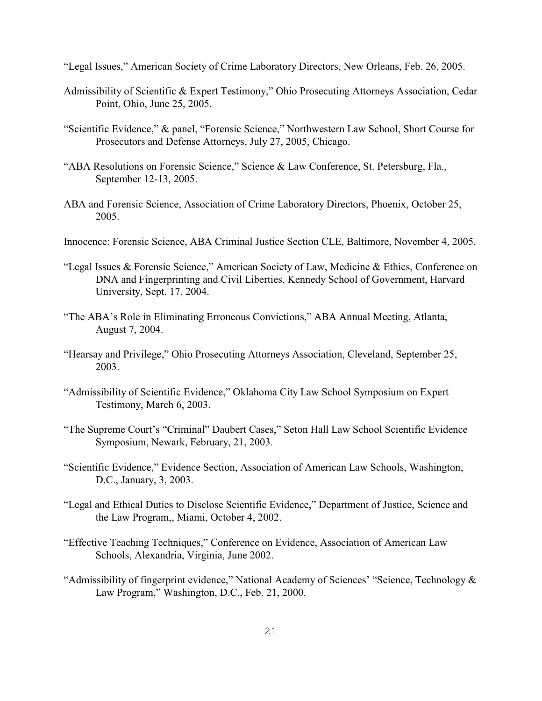"Legal Issues," American Society of Crime Laboratory Directors, New Orleans, Feb. 26, 2005.

- Admissibility of Scientific & Expert Testimony," Ohio Prosecuting Attorneys Association, Cedar Point, Ohio, June 25, 2005.
- "Scientific Evidence," & panel, "Forensic Science," Northwestern Law School, Short Course for Prosecutors and Defense Attorneys, July 27, 2005, Chicago.
- "ABA Resolutions on Forensic Science," Science & Law Conference, St. Petersburg, Fla., September 12-13, 2005.
- ABA and Forensic Science, Association of Crime Laboratory Directors, Phoenix, October 25, 2005.
- Innocence: Forensic Science, ABA Criminal Justice Section CLE, Baltimore, November 4, 2005.
- "Legal Issues & Forensic Science," American Society of Law, Medicine & Ethics, Conference on DNA and Fingerprinting and Civil Liberties, Kennedy School of Government, Harvard University, Sept. 17, 2004.
- "The ABA's Role in Eliminating Erroneous Convictions," ABA Annual Meeting, Atlanta, August 7, 2004.
- "Hearsay and Privilege," Ohio Prosecuting Attorneys Association, Cleveland, September 25, 2003.
- "Admissibility of Scientific Evidence," Oklahoma City Law School Symposium on Expert Testimony, March 6, 2003.
- "The Supreme Court's "Criminal" Daubert Cases," Seton Hall Law School Scientific Evidence Symposium, Newark, February, 21, 2003.
- "Scientific Evidence," Evidence Section, Association of American Law Schools, Washington, D.C., January, 3, 2003.
- "Legal and Ethical Duties to Disclose Scientific Evidence," Department of Justice, Science and the Law Program,, Miami, October 4, 2002.
- "Effective Teaching Techniques," Conference on Evidence, Association of American Law Schools, Alexandria, Virginia, June 2002.
- "Admissibility of fingerprint evidence," National Academy of Sciences' "Science, Technology & Law Program," Washington, D.C., Feb. 21, 2000.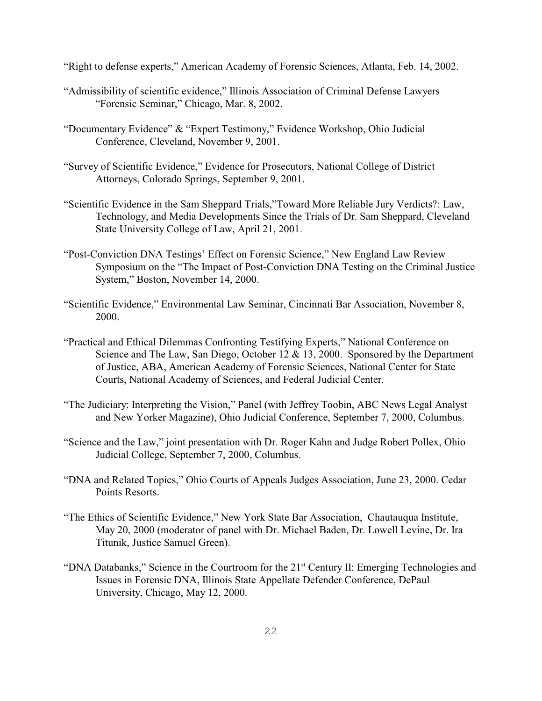"Right to defense experts," American Academy of Forensic Sciences, Atlanta, Feb. 14, 2002.

- "Admissibility of scientific evidence," Illinois Association of Criminal Defense Lawyers "Forensic Seminar," Chicago, Mar. 8, 2002.
- "Documentary Evidence" & "Expert Testimony," Evidence Workshop, Ohio Judicial Conference, Cleveland, November 9, 2001.
- "Survey of Scientific Evidence," Evidence for Prosecutors, National College of District Attorneys, Colorado Springs, September 9, 2001.
- "Scientific Evidence in the Sam Sheppard Trials,"Toward More Reliable Jury Verdicts?: Law, Technology, and Media Developments Since the Trials of Dr. Sam Sheppard, Cleveland State University College of Law, April 21, 2001.
- "Post-Conviction DNA Testings' Effect on Forensic Science," New England Law Review Symposium on the "The Impact of Post-Conviction DNA Testing on the Criminal Justice System," Boston, November 14, 2000.
- "Scientific Evidence," Environmental Law Seminar, Cincinnati Bar Association, November 8, 2000.
- "Practical and Ethical Dilemmas Confronting Testifying Experts," National Conference on Science and The Law, San Diego, October 12 & 13, 2000. Sponsored by the Department of Justice, ABA, American Academy of Forensic Sciences, National Center for State Courts, National Academy of Sciences, and Federal Judicial Center.
- "The Judiciary: Interpreting the Vision," Panel (with Jeffrey Toobin, ABC News Legal Analyst and New Yorker Magazine), Ohio Judicial Conference, September 7, 2000, Columbus.
- "Science and the Law," joint presentation with Dr. Roger Kahn and Judge Robert Pollex, Ohio Judicial College, September 7, 2000, Columbus.
- "DNA and Related Topics," Ohio Courts of Appeals Judges Association, June 23, 2000. Cedar Points Resorts.
- "The Ethics of Scientific Evidence," New York State Bar Association, Chautauqua Institute, May 20, 2000 (moderator of panel with Dr. Michael Baden, Dr. Lowell Levine, Dr. Ira Titunik, Justice Samuel Green).
- "DNA Databanks," Science in the Courtroom for the  $21<sup>st</sup>$  Century II: Emerging Technologies and Issues in Forensic DNA, Illinois State Appellate Defender Conference, DePaul University, Chicago, May 12, 2000.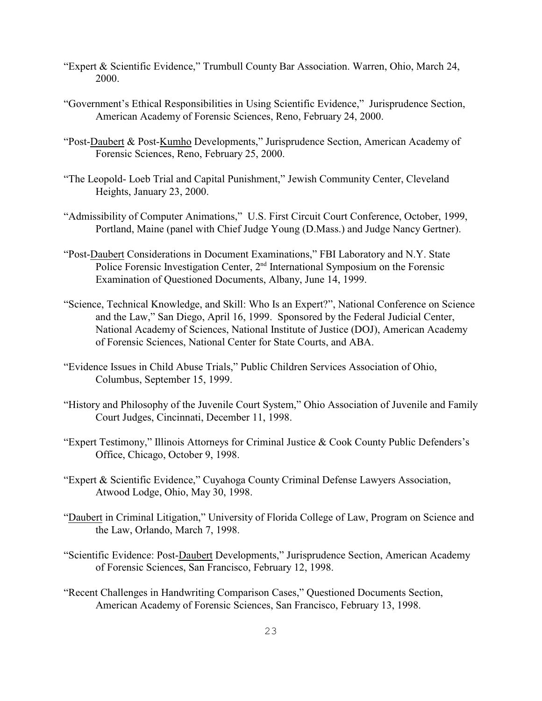- "Expert & Scientific Evidence," Trumbull County Bar Association. Warren, Ohio, March 24, 2000.
- "Government's Ethical Responsibilities in Using Scientific Evidence," Jurisprudence Section, American Academy of Forensic Sciences, Reno, February 24, 2000.
- "Post-Daubert & Post-Kumho Developments," Jurisprudence Section, American Academy of Forensic Sciences, Reno, February 25, 2000.
- "The Leopold- Loeb Trial and Capital Punishment," Jewish Community Center, Cleveland Heights, January 23, 2000.
- "Admissibility of Computer Animations," U.S. First Circuit Court Conference, October, 1999, Portland, Maine (panel with Chief Judge Young (D.Mass.) and Judge Nancy Gertner).
- "Post-Daubert Considerations in Document Examinations," FBI Laboratory and N.Y. State Police Forensic Investigation Center,  $2<sup>nd</sup>$  International Symposium on the Forensic Examination of Questioned Documents, Albany, June 14, 1999.
- "Science, Technical Knowledge, and Skill: Who Is an Expert?", National Conference on Science and the Law," San Diego, April 16, 1999. Sponsored by the Federal Judicial Center, National Academy of Sciences, National Institute of Justice (DOJ), American Academy of Forensic Sciences, National Center for State Courts, and ABA.
- "Evidence Issues in Child Abuse Trials," Public Children Services Association of Ohio, Columbus, September 15, 1999.
- "History and Philosophy of the Juvenile Court System," Ohio Association of Juvenile and Family Court Judges, Cincinnati, December 11, 1998.
- "Expert Testimony," Illinois Attorneys for Criminal Justice & Cook County Public Defenders's Office, Chicago, October 9, 1998.
- "Expert & Scientific Evidence," Cuyahoga County Criminal Defense Lawyers Association, Atwood Lodge, Ohio, May 30, 1998.
- "Daubert in Criminal Litigation," University of Florida College of Law, Program on Science and the Law, Orlando, March 7, 1998.
- "Scientific Evidence: Post-Daubert Developments," Jurisprudence Section, American Academy of Forensic Sciences, San Francisco, February 12, 1998.
- "Recent Challenges in Handwriting Comparison Cases," Questioned Documents Section, American Academy of Forensic Sciences, San Francisco, February 13, 1998.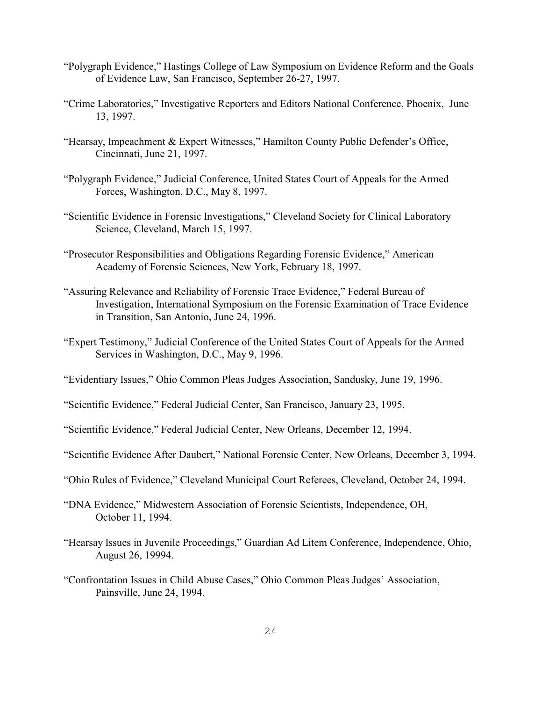- "Polygraph Evidence," Hastings College of Law Symposium on Evidence Reform and the Goals of Evidence Law, San Francisco, September 26-27, 1997.
- "Crime Laboratories," Investigative Reporters and Editors National Conference, Phoenix, June 13, 1997.
- "Hearsay, Impeachment & Expert Witnesses," Hamilton County Public Defender's Office, Cincinnati, June 21, 1997.
- "Polygraph Evidence," Judicial Conference, United States Court of Appeals for the Armed Forces, Washington, D.C., May 8, 1997.
- "Scientific Evidence in Forensic Investigations," Cleveland Society for Clinical Laboratory Science, Cleveland, March 15, 1997.
- "Prosecutor Responsibilities and Obligations Regarding Forensic Evidence," American Academy of Forensic Sciences, New York, February 18, 1997.
- "Assuring Relevance and Reliability of Forensic Trace Evidence," Federal Bureau of Investigation, International Symposium on the Forensic Examination of Trace Evidence in Transition, San Antonio, June 24, 1996.
- "Expert Testimony," Judicial Conference of the United States Court of Appeals for the Armed Services in Washington, D.C., May 9, 1996.
- "Evidentiary Issues," Ohio Common Pleas Judges Association, Sandusky, June 19, 1996.
- "Scientific Evidence," Federal Judicial Center, San Francisco, January 23, 1995.
- "Scientific Evidence," Federal Judicial Center, New Orleans, December 12, 1994.
- "Scientific Evidence After Daubert," National Forensic Center, New Orleans, December 3, 1994.
- "Ohio Rules of Evidence," Cleveland Municipal Court Referees, Cleveland, October 24, 1994.
- "DNA Evidence," Midwestern Association of Forensic Scientists, Independence, OH, October 11, 1994.
- "Hearsay Issues in Juvenile Proceedings," Guardian Ad Litem Conference, Independence, Ohio, August 26, 19994.
- "Confrontation Issues in Child Abuse Cases," Ohio Common Pleas Judges' Association, Painsville, June 24, 1994.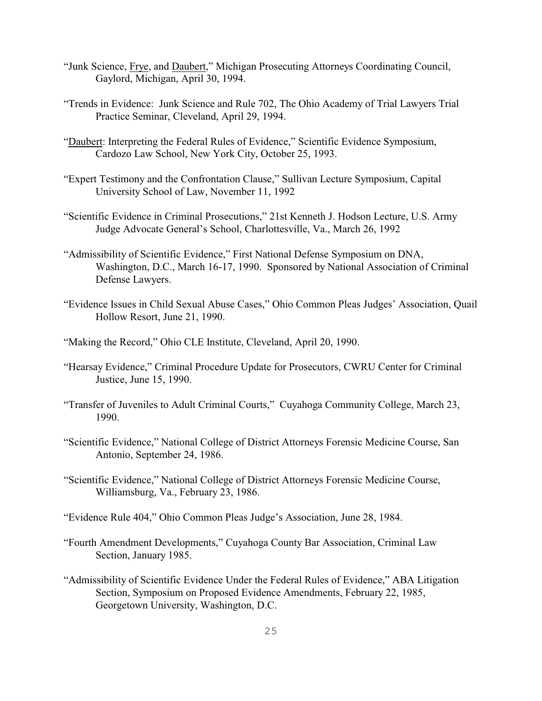- "Junk Science, Frye, and Daubert," Michigan Prosecuting Attorneys Coordinating Council, Gaylord, Michigan, April 30, 1994.
- "Trends in Evidence: Junk Science and Rule 702, The Ohio Academy of Trial Lawyers Trial Practice Seminar, Cleveland, April 29, 1994.
- "Daubert: Interpreting the Federal Rules of Evidence," Scientific Evidence Symposium, Cardozo Law School, New York City, October 25, 1993.
- "Expert Testimony and the Confrontation Clause," Sullivan Lecture Symposium, Capital University School of Law, November 11, 1992
- "Scientific Evidence in Criminal Prosecutions," 21st Kenneth J. Hodson Lecture, U.S. Army Judge Advocate General's School, Charlottesville, Va., March 26, 1992
- "Admissibility of Scientific Evidence," First National Defense Symposium on DNA, Washington, D.C., March 16-17, 1990. Sponsored by National Association of Criminal Defense Lawyers.
- "Evidence Issues in Child Sexual Abuse Cases," Ohio Common Pleas Judges' Association, Quail Hollow Resort, June 21, 1990.
- "Making the Record," Ohio CLE Institute, Cleveland, April 20, 1990.
- "Hearsay Evidence," Criminal Procedure Update for Prosecutors, CWRU Center for Criminal Justice, June 15, 1990.
- "Transfer of Juveniles to Adult Criminal Courts," Cuyahoga Community College, March 23, 1990.
- "Scientific Evidence," National College of District Attorneys Forensic Medicine Course, San Antonio, September 24, 1986.
- "Scientific Evidence," National College of District Attorneys Forensic Medicine Course, Williamsburg, Va., February 23, 1986.
- "Evidence Rule 404," Ohio Common Pleas Judge's Association, June 28, 1984.
- "Fourth Amendment Developments," Cuyahoga County Bar Association, Criminal Law Section, January 1985.
- "Admissibility of Scientific Evidence Under the Federal Rules of Evidence," ABA Litigation Section, Symposium on Proposed Evidence Amendments, February 22, 1985, Georgetown University, Washington, D.C.